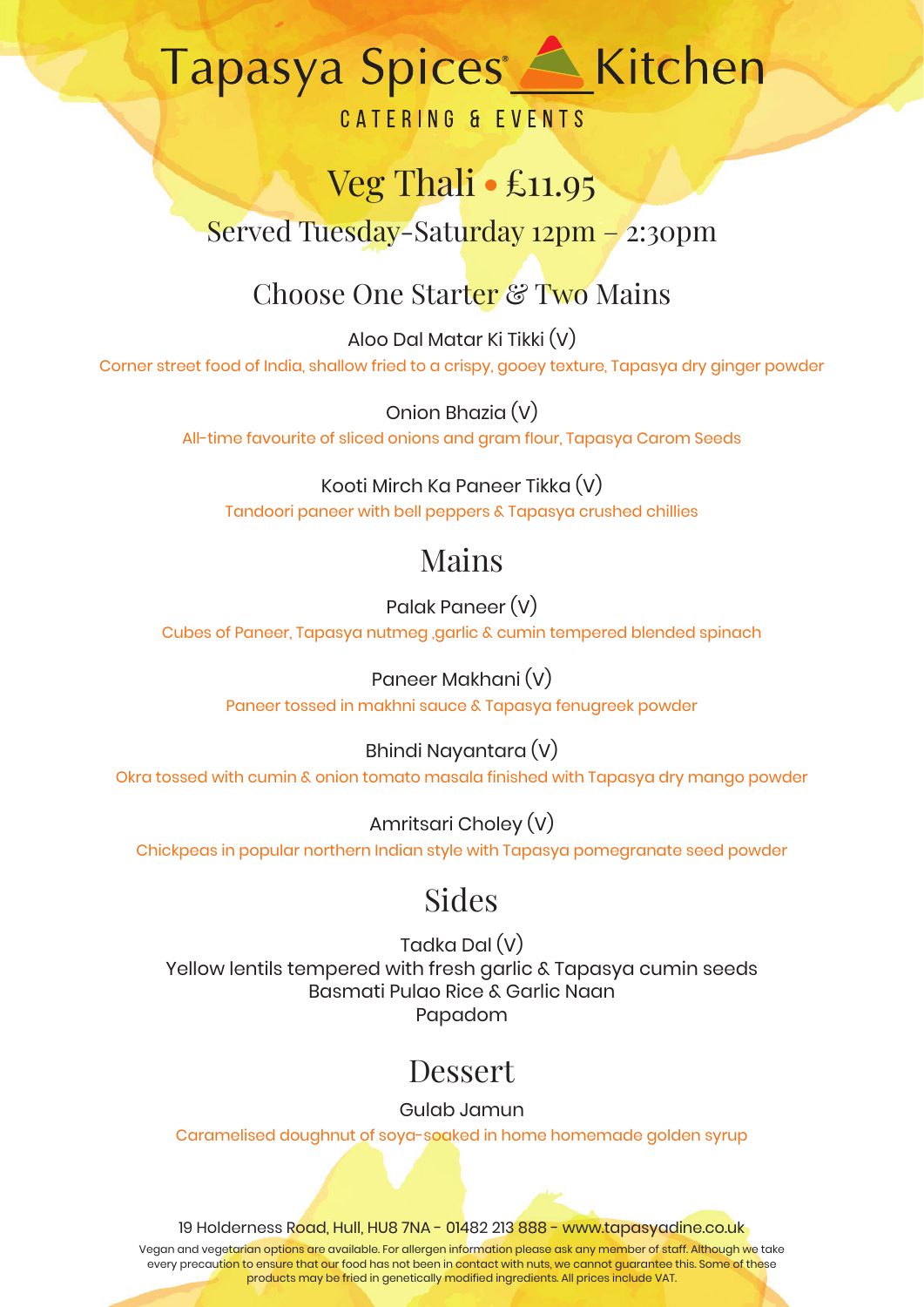# Tapasya Spices <a>
Kitchen

### **CATERING & EVENTS**

## Veg Thali **●** £11.95

Served Tuesday-Saturday 12pm – 2:30pm

## Choose One Starter & Two Mains

Aloo Dal Matar Ki Tikki (V) Corner street food of India, shallow fried to a crispy, gooey texture, Tapasya dry ginger powder

> Onion Bhazia (V) All-time favourite of sliced onions and gram flour, Tapasya Carom Seeds

Kooti Mirch Ka Paneer Tikka (V) Tandoori paneer with bell peppers & Tapasya crushed chillies

## Mains

Palak Paneer (V) Cubes of Paneer, Tapasya nutmeg ,garlic & cumin tempered blended spinach

> Paneer Makhani (V) Paneer tossed in makhni sauce & Tapasya fenugreek powder

Bhindi Nayantara (V) Okra tossed with cumin & onion tomato masala finished with Tapasya dry mango powder

Amritsari Choley (V) Chickpeas in popular northern Indian style with Tapasya pomegranate seed powder

## Sides

Tadka Dal (V) Yellow lentils tempered with fresh garlic & Tapasya cumin seeds Basmati Pulao Rice & Garlic Naan Papadom

## Dessert

Gulab Jamun

Caramelised doughnut of soya-soaked in home homemade golden syrup

19 Holderness Road, Hull, HU8 7NA - 01482 213 888 - www.tapasyadine.co.uk

Vegan and vegetarian options are available. For allergen information please ask any member of staff. Although we take every precaution to ensure that our food has not been in contact with nuts, we cannot guarantee this. Some of these products may be fried in genetically modified ingredients. All prices include VAT.